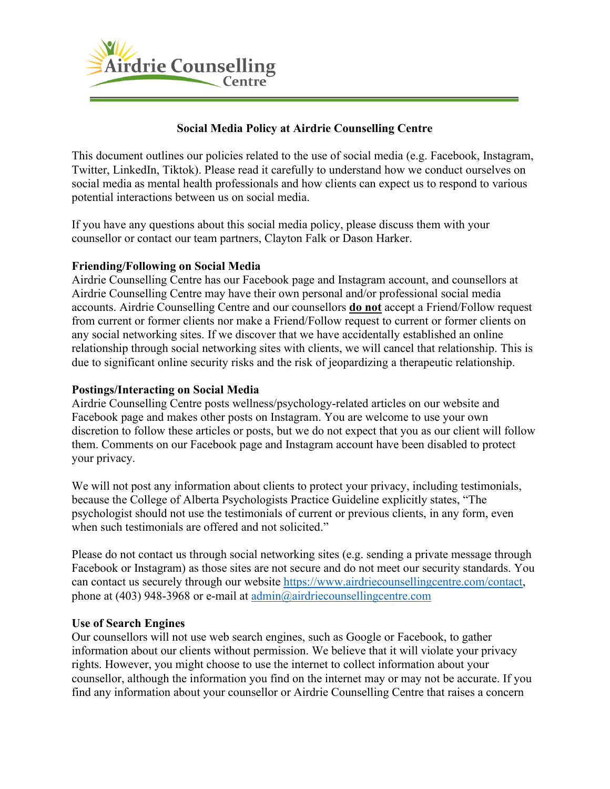

# **Social Media Policy at Airdrie Counselling Centre**

This document outlines our policies related to the use of social media (e.g. Facebook, Instagram, Twitter, LinkedIn, Tiktok). Please read it carefully to understand how we conduct ourselves on social media as mental health professionals and how clients can expect us to respond to various potential interactions between us on social media.

If you have any questions about this social media policy, please discuss them with your counsellor or contact our team partners, Clayton Falk or Dason Harker.

# **Friending/Following on Social Media**

Airdrie Counselling Centre has our Facebook page and Instagram account, and counsellors at Airdrie Counselling Centre may have their own personal and/or professional social media accounts. Airdrie Counselling Centre and our counsellors **do not** accept a Friend/Follow request from current or former clients nor make a Friend/Follow request to current or former clients on any social networking sites. If we discover that we have accidentally established an online relationship through social networking sites with clients, we will cancel that relationship. This is due to significant online security risks and the risk of jeopardizing a therapeutic relationship.

### **Postings/Interacting on Social Media**

Airdrie Counselling Centre posts wellness/psychology-related articles on our website and Facebook page and makes other posts on Instagram. You are welcome to use your own discretion to follow these articles or posts, but we do not expect that you as our client will follow them. Comments on our Facebook page and Instagram account have been disabled to protect your privacy.

We will not post any information about clients to protect your privacy, including testimonials, because the College of Alberta Psychologists Practice Guideline explicitly states, "The psychologist should not use the testimonials of current or previous clients, in any form, even when such testimonials are offered and not solicited."

Please do not contact us through social networking sites (e.g. sending a private message through Facebook or Instagram) as those sites are not secure and do not meet our security standards. You can contact us securely through our website [https://www.airdriecounsellingcentre.com/contact,](https://www.airdriecounsellingcentre.com/contact) phone at (403) 948-3968 or e-mail at [admin@airdriecounsellingcentre.com](mailto:admin@airdriecounsellingcentre.com)

#### **Use of Search Engines**

Our counsellors will not use web search engines, such as Google or Facebook, to gather information about our clients without permission. We believe that it will violate your privacy rights. However, you might choose to use the internet to collect information about your counsellor, although the information you find on the internet may or may not be accurate. If you find any information about your counsellor or Airdrie Counselling Centre that raises a concern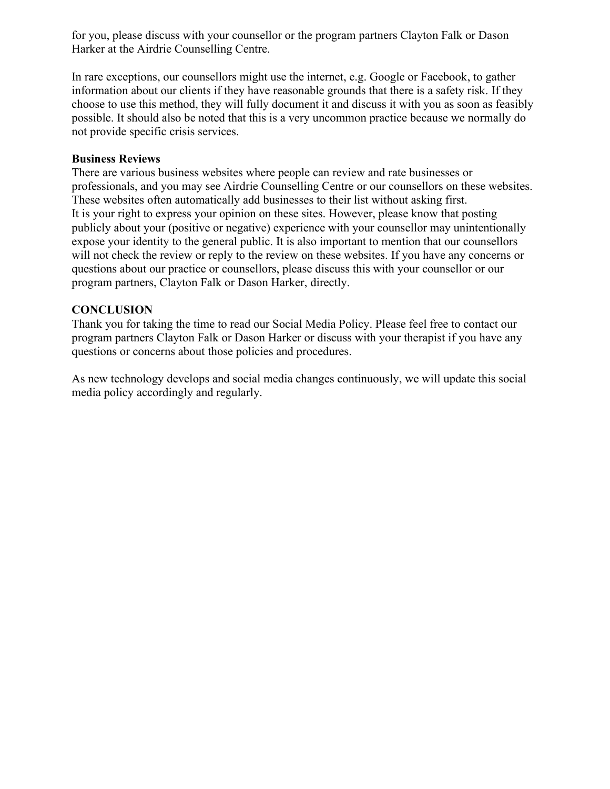for you, please discuss with your counsellor or the program partners Clayton Falk or Dason Harker at the Airdrie Counselling Centre.

In rare exceptions, our counsellors might use the internet, e.g. Google or Facebook, to gather information about our clients if they have reasonable grounds that there is a safety risk. If they choose to use this method, they will fully document it and discuss it with you as soon as feasibly possible. It should also be noted that this is a very uncommon practice because we normally do not provide specific crisis services.

### **Business Reviews**

There are various business websites where people can review and rate businesses or professionals, and you may see Airdrie Counselling Centre or our counsellors on these websites. These websites often automatically add businesses to their list without asking first. It is your right to express your opinion on these sites. However, please know that posting publicly about your (positive or negative) experience with your counsellor may unintentionally expose your identity to the general public. It is also important to mention that our counsellors will not check the review or reply to the review on these websites. If you have any concerns or questions about our practice or counsellors, please discuss this with your counsellor or our program partners, Clayton Falk or Dason Harker, directly.

# **CONCLUSION**

Thank you for taking the time to read our Social Media Policy. Please feel free to contact our program partners Clayton Falk or Dason Harker or discuss with your therapist if you have any questions or concerns about those policies and procedures.

As new technology develops and social media changes continuously, we will update this social media policy accordingly and regularly.